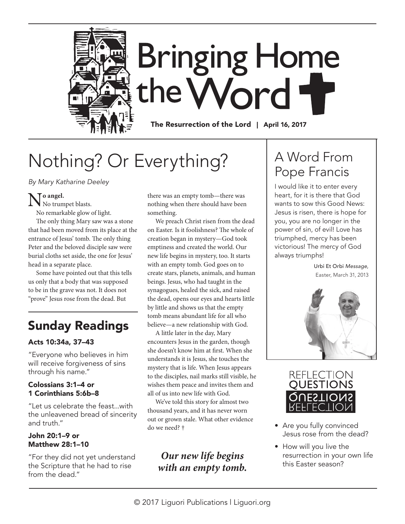

# **Bringing Home** the Word

The Resurrection of the Lord | April 16, 2017

## Nothing? Or Everything?

By Mary Katharine Deeley

No angel.<br>No trumpet blasts.

No remarkable glow of light.

The only thing Mary saw was a stone that had been moved from its place at the entrance of Jesus' tomb. The only thing Peter and the beloved disciple saw were burial cloths set aside, the one for Jesus' head in a separate place.

Some have pointed out that this tells us only that a body that was supposed to be in the grave was not. It does not "prove" Jesus rose from the dead. But

## Sunday Readings

#### Acts 10:34a, 37–43

"Everyone who believes in him will receive forgiveness of sins through his name."

#### Colossians 3:1–4 or 1 Corinthians 5:6b–8

"Let us celebrate the feast...with the unleavened bread of sincerity and truth."

#### John 20:1–9 or Matthew 28:1–10

"For they did not yet understand the Scripture that he had to rise from the dead."

there was an empty tomb—there was nothing when there should have been something.

We preach Christ risen from the dead on Easter. Is it foolishness? The whole of creation began in mystery—God took emptiness and created the world. Our new life begins in mystery, too. It starts with an empty tomb. God goes on to create stars, planets, animals, and human beings. Jesus, who had taught in the synagogues, healed the sick, and raised the dead, opens our eyes and hearts little by little and shows us that the empty tomb means abundant life for all who believe—a new relationship with God.

A little later in the day, Mary encounters Jesus in the garden, though she doesn't know him at frst. When she understands it is Jesus, she touches the mystery that is life. When Jesus appears to the disciples, nail marks still visible, he wishes them peace and invites them and all of us into new life with God.

We've told this story for almost two thousand years, and it has never worn out or grown stale. What other evidence do we need? †

### *Our new life begins with an empty tomb.*

## A Word From Pope Francis

I would like it to enter every heart, for it is there that God wants to sow this Good News: Jesus is risen, there is hope for you, you are no longer in the power of sin, of evil! Love has triumphed, mercy has been victorious! The mercy of God always triumphs!

> Urbi Et Orbi Message, Easter, March 31, 2013





- Are you fully convinced Jesus rose from the dead?
- How will you live the resurrection in your own life this Easter season?